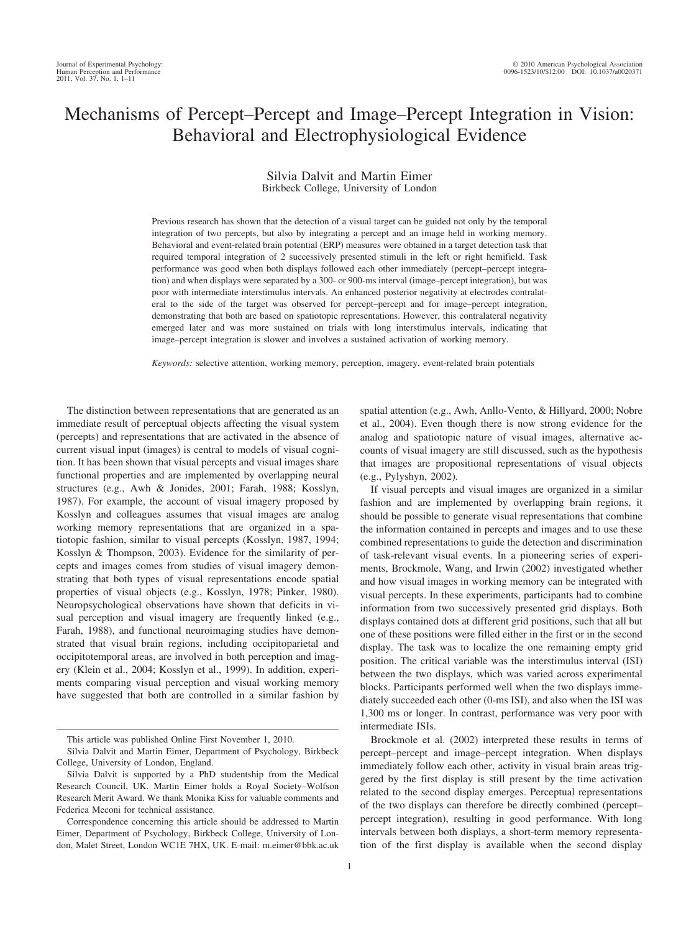# Mechanisms of Percept–Percept and Image–Percept Integration in Vision: Behavioral and Electrophysiological Evidence

## Silvia Dalvit and Martin Eimer Birkbeck College, University of London

Previous research has shown that the detection of a visual target can be guided not only by the temporal integration of two percepts, but also by integrating a percept and an image held in working memory. Behavioral and event-related brain potential (ERP) measures were obtained in a target detection task that required temporal integration of 2 successively presented stimuli in the left or right hemifield. Task performance was good when both displays followed each other immediately (percept–percept integration) and when displays were separated by a 300- or 900-ms interval (image–percept integration), but was poor with intermediate interstimulus intervals. An enhanced posterior negativity at electrodes contralateral to the side of the target was observed for percept–percept and for image–percept integration, demonstrating that both are based on spatiotopic representations. However, this contralateral negativity emerged later and was more sustained on trials with long interstimulus intervals, indicating that image–percept integration is slower and involves a sustained activation of working memory.

*Keywords:* selective attention, working memory, perception, imagery, event-related brain potentials

The distinction between representations that are generated as an immediate result of perceptual objects affecting the visual system (percepts) and representations that are activated in the absence of current visual input (images) is central to models of visual cognition. It has been shown that visual percepts and visual images share functional properties and are implemented by overlapping neural structures (e.g., Awh & Jonides, 2001; Farah, 1988; Kosslyn, 1987). For example, the account of visual imagery proposed by Kosslyn and colleagues assumes that visual images are analog working memory representations that are organized in a spatiotopic fashion, similar to visual percepts (Kosslyn, 1987, 1994; Kosslyn & Thompson, 2003). Evidence for the similarity of percepts and images comes from studies of visual imagery demonstrating that both types of visual representations encode spatial properties of visual objects (e.g., Kosslyn, 1978; Pinker, 1980). Neuropsychological observations have shown that deficits in visual perception and visual imagery are frequently linked (e.g., Farah, 1988), and functional neuroimaging studies have demonstrated that visual brain regions, including occipitoparietal and occipitotemporal areas, are involved in both perception and imagery (Klein et al., 2004; Kosslyn et al., 1999). In addition, experiments comparing visual perception and visual working memory have suggested that both are controlled in a similar fashion by

1

spatial attention (e.g., Awh, Anllo-Vento, & Hillyard, 2000; Nobre et al., 2004). Even though there is now strong evidence for the analog and spatiotopic nature of visual images, alternative accounts of visual imagery are still discussed, such as the hypothesis that images are propositional representations of visual objects (e.g., Pylyshyn, 2002).

If visual percepts and visual images are organized in a similar fashion and are implemented by overlapping brain regions, it should be possible to generate visual representations that combine the information contained in percepts and images and to use these combined representations to guide the detection and discrimination of task-relevant visual events. In a pioneering series of experiments, Brockmole, Wang, and Irwin (2002) investigated whether and how visual images in working memory can be integrated with visual percepts. In these experiments, participants had to combine information from two successively presented grid displays. Both displays contained dots at different grid positions, such that all but one of these positions were filled either in the first or in the second display. The task was to localize the one remaining empty grid position. The critical variable was the interstimulus interval (ISI) between the two displays, which was varied across experimental blocks. Participants performed well when the two displays immediately succeeded each other (0-ms ISI), and also when the ISI was 1,300 ms or longer. In contrast, performance was very poor with intermediate ISIs.

Brockmole et al. (2002) interpreted these results in terms of percept–percept and image–percept integration. When displays immediately follow each other, activity in visual brain areas triggered by the first display is still present by the time activation related to the second display emerges. Perceptual representations of the two displays can therefore be directly combined (percept– percept integration), resulting in good performance. With long intervals between both displays, a short-term memory representation of the first display is available when the second display

This article was published Online First November 1, 2010.

Silvia Dalvit and Martin Eimer, Department of Psychology, Birkbeck College, University of London, England.

Silvia Dalvit is supported by a PhD studentship from the Medical Research Council, UK. Martin Eimer holds a Royal Society–Wolfson Research Merit Award. We thank Monika Kiss for valuable comments and Federica Meconi for technical assistance.

Correspondence concerning this article should be addressed to Martin Eimer, Department of Psychology, Birkbeck College, University of London, Malet Street, London WC1E 7HX, UK. E-mail: m.eimer@bbk.ac.uk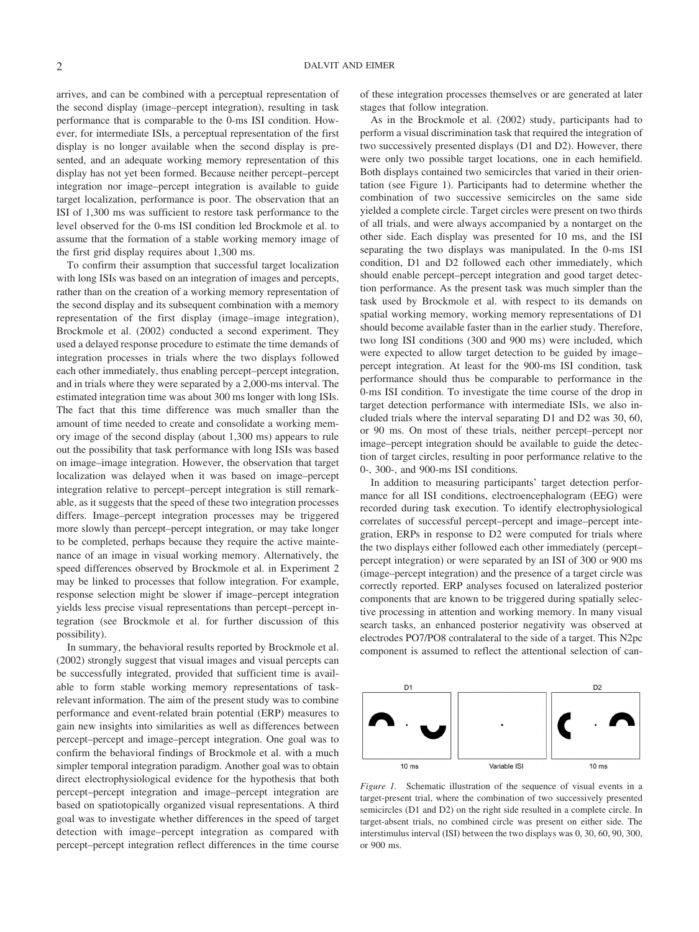arrives, and can be combined with a perceptual representation of the second display (image–percept integration), resulting in task performance that is comparable to the 0-ms ISI condition. However, for intermediate ISIs, a perceptual representation of the first display is no longer available when the second display is presented, and an adequate working memory representation of this display has not yet been formed. Because neither percept–percept integration nor image–percept integration is available to guide target localization, performance is poor. The observation that an ISI of 1,300 ms was sufficient to restore task performance to the level observed for the 0-ms ISI condition led Brockmole et al. to assume that the formation of a stable working memory image of the first grid display requires about 1,300 ms.

To confirm their assumption that successful target localization with long ISIs was based on an integration of images and percepts, rather than on the creation of a working memory representation of the second display and its subsequent combination with a memory representation of the first display (image–image integration), Brockmole et al. (2002) conducted a second experiment. They used a delayed response procedure to estimate the time demands of integration processes in trials where the two displays followed each other immediately, thus enabling percept–percept integration, and in trials where they were separated by a 2,000-ms interval. The estimated integration time was about 300 ms longer with long ISIs. The fact that this time difference was much smaller than the amount of time needed to create and consolidate a working memory image of the second display (about 1,300 ms) appears to rule out the possibility that task performance with long ISIs was based on image–image integration. However, the observation that target localization was delayed when it was based on image–percept integration relative to percept–percept integration is still remarkable, as it suggests that the speed of these two integration processes differs. Image–percept integration processes may be triggered more slowly than percept–percept integration, or may take longer to be completed, perhaps because they require the active maintenance of an image in visual working memory. Alternatively, the speed differences observed by Brockmole et al. in Experiment 2 may be linked to processes that follow integration. For example, response selection might be slower if image–percept integration yields less precise visual representations than percept–percept integration (see Brockmole et al. for further discussion of this possibility).

In summary, the behavioral results reported by Brockmole et al. (2002) strongly suggest that visual images and visual percepts can be successfully integrated, provided that sufficient time is available to form stable working memory representations of taskrelevant information. The aim of the present study was to combine performance and event-related brain potential (ERP) measures to gain new insights into similarities as well as differences between percept–percept and image–percept integration. One goal was to confirm the behavioral findings of Brockmole et al. with a much simpler temporal integration paradigm. Another goal was to obtain direct electrophysiological evidence for the hypothesis that both percept–percept integration and image–percept integration are based on spatiotopically organized visual representations. A third goal was to investigate whether differences in the speed of target detection with image–percept integration as compared with percept–percept integration reflect differences in the time course of these integration processes themselves or are generated at later stages that follow integration.

As in the Brockmole et al. (2002) study, participants had to perform a visual discrimination task that required the integration of two successively presented displays (D1 and D2). However, there were only two possible target locations, one in each hemifield. Both displays contained two semicircles that varied in their orientation (see Figure 1). Participants had to determine whether the combination of two successive semicircles on the same side yielded a complete circle. Target circles were present on two thirds of all trials, and were always accompanied by a nontarget on the other side. Each display was presented for 10 ms, and the ISI separating the two displays was manipulated. In the 0-ms ISI condition, D1 and D2 followed each other immediately, which should enable percept–percept integration and good target detection performance. As the present task was much simpler than the task used by Brockmole et al. with respect to its demands on spatial working memory, working memory representations of D1 should become available faster than in the earlier study. Therefore, two long ISI conditions (300 and 900 ms) were included, which were expected to allow target detection to be guided by image– percept integration. At least for the 900-ms ISI condition, task performance should thus be comparable to performance in the 0-ms ISI condition. To investigate the time course of the drop in target detection performance with intermediate ISIs, we also included trials where the interval separating D1 and D2 was 30, 60, or 90 ms. On most of these trials, neither percept–percept nor image–percept integration should be available to guide the detection of target circles, resulting in poor performance relative to the 0-, 300-, and 900-ms ISI conditions.

In addition to measuring participants' target detection performance for all ISI conditions, electroencephalogram (EEG) were recorded during task execution. To identify electrophysiological correlates of successful percept–percept and image–percept integration, ERPs in response to D2 were computed for trials where the two displays either followed each other immediately (percept– percept integration) or were separated by an ISI of 300 or 900 ms (image–percept integration) and the presence of a target circle was correctly reported. ERP analyses focused on lateralized posterior components that are known to be triggered during spatially selective processing in attention and working memory. In many visual search tasks, an enhanced posterior negativity was observed at electrodes PO7/PO8 contralateral to the side of a target. This N2pc component is assumed to reflect the attentional selection of can-



*Figure 1.* Schematic illustration of the sequence of visual events in a target-present trial, where the combination of two successively presented semicircles (D1 and D2) on the right side resulted in a complete circle. In target-absent trials, no combined circle was present on either side. The interstimulus interval (ISI) between the two displays was 0, 30, 60, 90, 300, or 900 ms.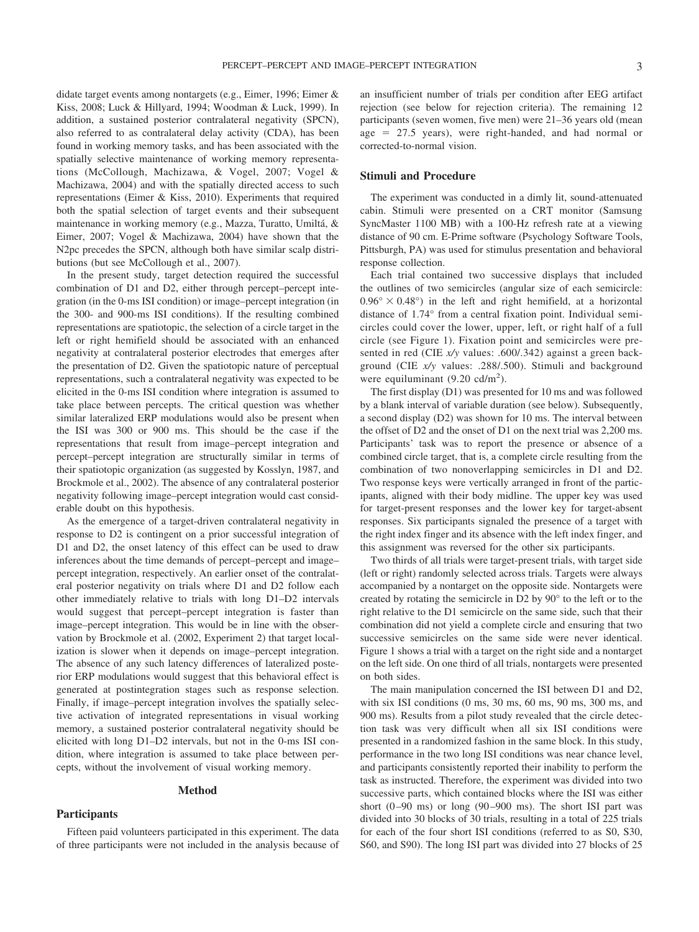didate target events among nontargets (e.g., Eimer, 1996; Eimer & Kiss, 2008; Luck & Hillyard, 1994; Woodman & Luck, 1999). In addition, a sustained posterior contralateral negativity (SPCN), also referred to as contralateral delay activity (CDA), has been found in working memory tasks, and has been associated with the spatially selective maintenance of working memory representations (McCollough, Machizawa, & Vogel, 2007; Vogel & Machizawa, 2004) and with the spatially directed access to such representations (Eimer & Kiss, 2010). Experiments that required both the spatial selection of target events and their subsequent maintenance in working memory (e.g., Mazza, Turatto, Umiltá, & Eimer, 2007; Vogel & Machizawa, 2004) have shown that the N2pc precedes the SPCN, although both have similar scalp distributions (but see McCollough et al., 2007).

In the present study, target detection required the successful combination of D1 and D2, either through percept–percept integration (in the 0-ms ISI condition) or image–percept integration (in the 300- and 900-ms ISI conditions). If the resulting combined representations are spatiotopic, the selection of a circle target in the left or right hemifield should be associated with an enhanced negativity at contralateral posterior electrodes that emerges after the presentation of D2. Given the spatiotopic nature of perceptual representations, such a contralateral negativity was expected to be elicited in the 0-ms ISI condition where integration is assumed to take place between percepts. The critical question was whether similar lateralized ERP modulations would also be present when the ISI was 300 or 900 ms. This should be the case if the representations that result from image–percept integration and percept–percept integration are structurally similar in terms of their spatiotopic organization (as suggested by Kosslyn, 1987, and Brockmole et al., 2002). The absence of any contralateral posterior negativity following image–percept integration would cast considerable doubt on this hypothesis.

As the emergence of a target-driven contralateral negativity in response to D2 is contingent on a prior successful integration of D1 and D2, the onset latency of this effect can be used to draw inferences about the time demands of percept–percept and image– percept integration, respectively. An earlier onset of the contralateral posterior negativity on trials where D1 and D2 follow each other immediately relative to trials with long D1–D2 intervals would suggest that percept–percept integration is faster than image–percept integration. This would be in line with the observation by Brockmole et al. (2002, Experiment 2) that target localization is slower when it depends on image–percept integration. The absence of any such latency differences of lateralized posterior ERP modulations would suggest that this behavioral effect is generated at postintegration stages such as response selection. Finally, if image–percept integration involves the spatially selective activation of integrated representations in visual working memory, a sustained posterior contralateral negativity should be elicited with long D1–D2 intervals, but not in the 0-ms ISI condition, where integration is assumed to take place between percepts, without the involvement of visual working memory.

#### **Method**

## **Participants**

Fifteen paid volunteers participated in this experiment. The data of three participants were not included in the analysis because of

an insufficient number of trials per condition after EEG artifact rejection (see below for rejection criteria). The remaining 12 participants (seven women, five men) were 21–36 years old (mean age  $= 27.5$  years), were right-handed, and had normal or corrected-to-normal vision.

## **Stimuli and Procedure**

The experiment was conducted in a dimly lit, sound-attenuated cabin. Stimuli were presented on a CRT monitor (Samsung SyncMaster 1100 MB) with a 100-Hz refresh rate at a viewing distance of 90 cm. E-Prime software (Psychology Software Tools, Pittsburgh, PA) was used for stimulus presentation and behavioral response collection.

Each trial contained two successive displays that included the outlines of two semicircles (angular size of each semicircle:  $0.96^{\circ} \times 0.48^{\circ}$ ) in the left and right hemifield, at a horizontal distance of 1.74° from a central fixation point. Individual semicircles could cover the lower, upper, left, or right half of a full circle (see Figure 1). Fixation point and semicircles were presented in red (CIE *x/y* values: .600/.342) against a green background (CIE *x/y* values: .288/.500). Stimuli and background were equiluminant  $(9.20 \text{ cd/m}^2)$ .

The first display (D1) was presented for 10 ms and was followed by a blank interval of variable duration (see below). Subsequently, a second display (D2) was shown for 10 ms. The interval between the offset of D2 and the onset of D1 on the next trial was 2,200 ms. Participants' task was to report the presence or absence of a combined circle target, that is, a complete circle resulting from the combination of two nonoverlapping semicircles in D1 and D2. Two response keys were vertically arranged in front of the participants, aligned with their body midline. The upper key was used for target-present responses and the lower key for target-absent responses. Six participants signaled the presence of a target with the right index finger and its absence with the left index finger, and this assignment was reversed for the other six participants.

Two thirds of all trials were target-present trials, with target side (left or right) randomly selected across trials. Targets were always accompanied by a nontarget on the opposite side. Nontargets were created by rotating the semicircle in D2 by 90° to the left or to the right relative to the D1 semicircle on the same side, such that their combination did not yield a complete circle and ensuring that two successive semicircles on the same side were never identical. Figure 1 shows a trial with a target on the right side and a nontarget on the left side. On one third of all trials, nontargets were presented on both sides.

The main manipulation concerned the ISI between D1 and D2, with six ISI conditions (0 ms, 30 ms, 60 ms, 90 ms, 300 ms, and 900 ms). Results from a pilot study revealed that the circle detection task was very difficult when all six ISI conditions were presented in a randomized fashion in the same block. In this study, performance in the two long ISI conditions was near chance level, and participants consistently reported their inability to perform the task as instructed. Therefore, the experiment was divided into two successive parts, which contained blocks where the ISI was either short  $(0-90 \text{ ms})$  or long  $(90-900 \text{ ms})$ . The short ISI part was divided into 30 blocks of 30 trials, resulting in a total of 225 trials for each of the four short ISI conditions (referred to as S0, S30, S60, and S90). The long ISI part was divided into 27 blocks of 25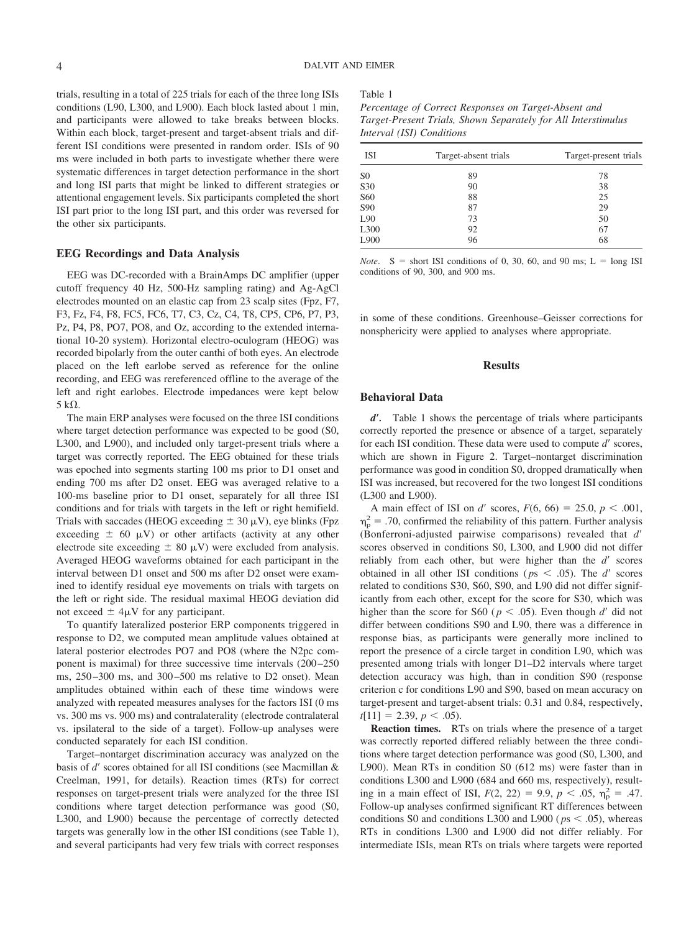trials, resulting in a total of 225 trials for each of the three long ISIs conditions (L90, L300, and L900). Each block lasted about 1 min, and participants were allowed to take breaks between blocks. Within each block, target-present and target-absent trials and different ISI conditions were presented in random order. ISIs of 90 ms were included in both parts to investigate whether there were systematic differences in target detection performance in the short and long ISI parts that might be linked to different strategies or attentional engagement levels. Six participants completed the short ISI part prior to the long ISI part, and this order was reversed for the other six participants.

#### **EEG Recordings and Data Analysis**

EEG was DC-recorded with a BrainAmps DC amplifier (upper cutoff frequency 40 Hz, 500-Hz sampling rating) and Ag-AgCl electrodes mounted on an elastic cap from 23 scalp sites (Fpz, F7, F3, Fz, F4, F8, FC5, FC6, T7, C3, Cz, C4, T8, CP5, CP6, P7, P3, Pz, P4, P8, PO7, PO8, and Oz, according to the extended international 10-20 system). Horizontal electro-oculogram (HEOG) was recorded bipolarly from the outer canthi of both eyes. An electrode placed on the left earlobe served as reference for the online recording, and EEG was rereferenced offline to the average of the left and right earlobes. Electrode impedances were kept below  $5 \text{ k}\Omega$ .

The main ERP analyses were focused on the three ISI conditions where target detection performance was expected to be good (S0, L300, and L900), and included only target-present trials where a target was correctly reported. The EEG obtained for these trials was epoched into segments starting 100 ms prior to D1 onset and ending 700 ms after D2 onset. EEG was averaged relative to a 100-ms baseline prior to D1 onset, separately for all three ISI conditions and for trials with targets in the left or right hemifield. Trials with saccades (HEOG exceeding  $\pm$  30  $\mu$ V), eye blinks (Fpz exceeding  $\pm$  60  $\mu$ V) or other artifacts (activity at any other electrode site exceeding  $\pm 80 \mu V$ ) were excluded from analysis. Averaged HEOG waveforms obtained for each participant in the interval between D1 onset and 500 ms after D2 onset were examined to identify residual eye movements on trials with targets on the left or right side. The residual maximal HEOG deviation did not exceed  $\pm$  4 $\mu$ V for any participant.

To quantify lateralized posterior ERP components triggered in response to D2, we computed mean amplitude values obtained at lateral posterior electrodes PO7 and PO8 (where the N2pc component is maximal) for three successive time intervals (200 –250 ms, 250 –300 ms, and 300 –500 ms relative to D2 onset). Mean amplitudes obtained within each of these time windows were analyzed with repeated measures analyses for the factors ISI (0 ms vs. 300 ms vs. 900 ms) and contralaterality (electrode contralateral vs. ipsilateral to the side of a target). Follow-up analyses were conducted separately for each ISI condition.

Target–nontarget discrimination accuracy was analyzed on the basis of *d'* scores obtained for all ISI conditions (see Macmillan & Creelman, 1991, for details). Reaction times (RTs) for correct responses on target-present trials were analyzed for the three ISI conditions where target detection performance was good (S0, L300, and L900) because the percentage of correctly detected targets was generally low in the other ISI conditions (see Table 1), and several participants had very few trials with correct responses

#### Table 1

| Percentage of Correct Responses on Target-Absent and          |  |  |  |
|---------------------------------------------------------------|--|--|--|
| Target-Present Trials, Shown Separately for All Interstimulus |  |  |  |
| Interval (ISI) Conditions                                     |  |  |  |

| <b>ISI</b>     | Target-absent trials | Target-present trials |  |  |
|----------------|----------------------|-----------------------|--|--|
| S <sub>0</sub> | 89                   | 78                    |  |  |
| S30            | 90                   | 38                    |  |  |
| S60            | 88                   | 25                    |  |  |
| S90            | 87                   | 29                    |  |  |
| L90            | 73                   | 50                    |  |  |
| L300           | 92                   | 67                    |  |  |
| L900           | 96                   | 68                    |  |  |

*Note.*  $S =$  short ISI conditions of 0, 30, 60, and 90 ms; L = long ISI conditions of 90, 300, and 900 ms.

in some of these conditions. Greenhouse–Geisser corrections for nonsphericity were applied to analyses where appropriate.

#### **Results**

## **Behavioral Data**

*d.* Table 1 shows the percentage of trials where participants correctly reported the presence or absence of a target, separately for each ISI condition. These data were used to compute *d'* scores, which are shown in Figure 2. Target–nontarget discrimination performance was good in condition S0, dropped dramatically when ISI was increased, but recovered for the two longest ISI conditions (L300 and L900).

A main effect of ISI on *d'* scores,  $F(6, 66) = 25.0, p < .001$ ,  $\eta_{\rm p}^2$  = .70, confirmed the reliability of this pattern. Further analysis (Bonferroni-adjusted pairwise comparisons) revealed that *d* scores observed in conditions S0, L300, and L900 did not differ reliably from each other, but were higher than the *d'* scores obtained in all other ISI conditions ( $ps < .05$ ). The *d'* scores related to conditions S30, S60, S90, and L90 did not differ significantly from each other, except for the score for S30, which was higher than the score for S60 ( $p < .05$ ). Even though d' did not differ between conditions S90 and L90, there was a difference in response bias, as participants were generally more inclined to report the presence of a circle target in condition L90, which was presented among trials with longer D1–D2 intervals where target detection accuracy was high, than in condition S90 (response criterion c for conditions L90 and S90, based on mean accuracy on target-present and target-absent trials: 0.31 and 0.84, respectively,  $t[11] = 2.39, p < .05$ ).

**Reaction times.** RTs on trials where the presence of a target was correctly reported differed reliably between the three conditions where target detection performance was good (S0, L300, and L900). Mean RTs in condition S0 (612 ms) were faster than in conditions L300 and L900 (684 and 660 ms, respectively), resulting in a main effect of ISI,  $F(2, 22) = 9.9$ ,  $p < .05$ ,  $\eta_p^2 = .47$ . Follow-up analyses confirmed significant RT differences between conditions S0 and conditions L300 and L900 ( $p$ s  $\lt$  .05), whereas RTs in conditions L300 and L900 did not differ reliably. For intermediate ISIs, mean RTs on trials where targets were reported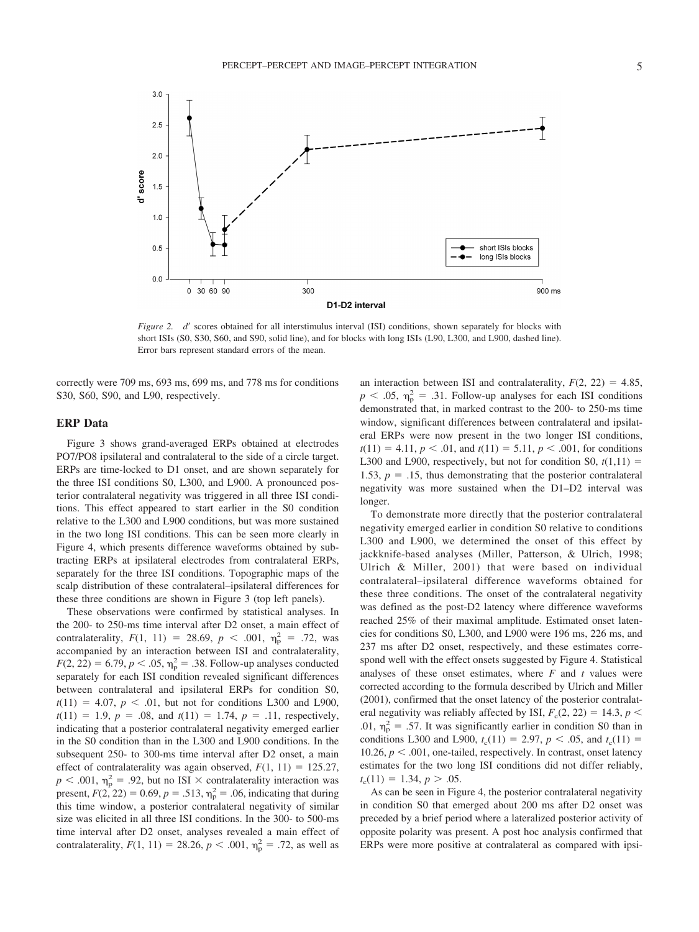

*Figure 2. d'* scores obtained for all interstimulus interval (ISI) conditions, shown separately for blocks with short ISIs (S0, S30, S60, and S90, solid line), and for blocks with long ISIs (L90, L300, and L900, dashed line). Error bars represent standard errors of the mean.

correctly were 709 ms, 693 ms, 699 ms, and 778 ms for conditions S30, S60, S90, and L90, respectively.

## **ERP Data**

Figure 3 shows grand-averaged ERPs obtained at electrodes PO7/PO8 ipsilateral and contralateral to the side of a circle target. ERPs are time-locked to D1 onset, and are shown separately for the three ISI conditions S0, L300, and L900. A pronounced posterior contralateral negativity was triggered in all three ISI conditions. This effect appeared to start earlier in the S0 condition relative to the L300 and L900 conditions, but was more sustained in the two long ISI conditions. This can be seen more clearly in Figure 4, which presents difference waveforms obtained by subtracting ERPs at ipsilateral electrodes from contralateral ERPs, separately for the three ISI conditions. Topographic maps of the scalp distribution of these contralateral–ipsilateral differences for these three conditions are shown in Figure 3 (top left panels).

These observations were confirmed by statistical analyses. In the 200- to 250-ms time interval after D2 onset, a main effect of contralaterality,  $F(1, 11) = 28.69, p < .001, \eta_{\rm p}^2 = .72$ , was accompanied by an interaction between ISI and contralaterality,  $F(2, 22) = 6.79, p < .05, \eta_p^2 = .38$ . Follow-up analyses conducted separately for each ISI condition revealed significant differences between contralateral and ipsilateral ERPs for condition S0,  $t(11) = 4.07$ ,  $p < .01$ , but not for conditions L300 and L900,  $t(11) = 1.9, p = .08, \text{ and } t(11) = 1.74, p = .11, \text{ respectively,}$ indicating that a posterior contralateral negativity emerged earlier in the S0 condition than in the L300 and L900 conditions. In the subsequent 250- to 300-ms time interval after D2 onset, a main effect of contralaterality was again observed,  $F(1, 11) = 125.27$ ,  $p < .001$ ,  $\eta_p^2 = .92$ , but no ISI  $\times$  contralaterality interaction was present,  $F(2, 22) = 0.69$ ,  $p = .513$ ,  $\eta_p^2 = .06$ , indicating that during this time window, a posterior contralateral negativity of similar size was elicited in all three ISI conditions. In the 300- to 500-ms time interval after D2 onset, analyses revealed a main effect of contralaterality,  $F(1, 11) = 28.26$ ,  $p < .001$ ,  $\eta_p^2 = .72$ , as well as

an interaction between ISI and contralaterality,  $F(2, 22) = 4.85$ ,  $p$  < .05,  $\eta_p^2$  = .31. Follow-up analyses for each ISI conditions demonstrated that, in marked contrast to the 200- to 250-ms time window, significant differences between contralateral and ipsilateral ERPs were now present in the two longer ISI conditions,  $t(11) = 4.11$ ,  $p < .01$ , and  $t(11) = 5.11$ ,  $p < .001$ , for conditions L300 and L900, respectively, but not for condition S0,  $t(1,11)$  = 1.53,  $p = .15$ , thus demonstrating that the posterior contralateral negativity was more sustained when the D1–D2 interval was longer.

To demonstrate more directly that the posterior contralateral negativity emerged earlier in condition S0 relative to conditions L300 and L900, we determined the onset of this effect by jackknife-based analyses (Miller, Patterson, & Ulrich, 1998; Ulrich & Miller, 2001) that were based on individual contralateral–ipsilateral difference waveforms obtained for these three conditions. The onset of the contralateral negativity was defined as the post-D2 latency where difference waveforms reached 25% of their maximal amplitude. Estimated onset latencies for conditions S0, L300, and L900 were 196 ms, 226 ms, and 237 ms after D2 onset, respectively, and these estimates correspond well with the effect onsets suggested by Figure 4. Statistical analyses of these onset estimates, where *F* and *t* values were corrected according to the formula described by Ulrich and Miller (2001), confirmed that the onset latency of the posterior contralateral negativity was reliably affected by ISI,  $F_c(2, 22) = 14.3$ ,  $p <$ .01,  $\eta_p^2 = .57$ . It was significantly earlier in condition S0 than in conditions L300 and L900,  $t_c(11) = 2.97$ ,  $p < .05$ , and  $t_c(11) =$ 10.26,  $p < .001$ , one-tailed, respectively. In contrast, onset latency estimates for the two long ISI conditions did not differ reliably,  $t_c(11) = 1.34, p > .05.$ 

As can be seen in Figure 4, the posterior contralateral negativity in condition S0 that emerged about 200 ms after D2 onset was preceded by a brief period where a lateralized posterior activity of opposite polarity was present. A post hoc analysis confirmed that ERPs were more positive at contralateral as compared with ipsi-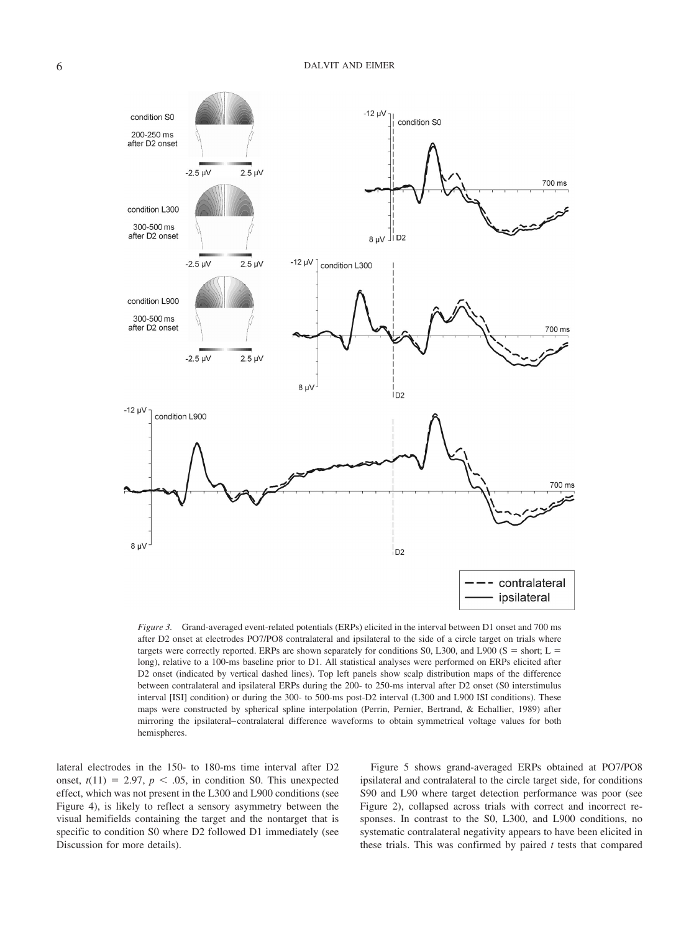

*Figure 3.* Grand-averaged event-related potentials (ERPs) elicited in the interval between D1 onset and 700 ms after D2 onset at electrodes PO7/PO8 contralateral and ipsilateral to the side of a circle target on trials where targets were correctly reported. ERPs are shown separately for conditions S0, L300, and L900 (S = short; L = long), relative to a 100-ms baseline prior to D1. All statistical analyses were performed on ERPs elicited after D2 onset (indicated by vertical dashed lines). Top left panels show scalp distribution maps of the difference between contralateral and ipsilateral ERPs during the 200- to 250-ms interval after D2 onset (S0 interstimulus interval [ISI] condition) or during the 300- to 500-ms post-D2 interval (L300 and L900 ISI conditions). These maps were constructed by spherical spline interpolation (Perrin, Pernier, Bertrand, & Echallier, 1989) after mirroring the ipsilateral– contralateral difference waveforms to obtain symmetrical voltage values for both hemispheres.

lateral electrodes in the 150- to 180-ms time interval after D2 onset,  $t(11) = 2.97$ ,  $p < .05$ , in condition S0. This unexpected effect, which was not present in the L300 and L900 conditions (see Figure 4), is likely to reflect a sensory asymmetry between the visual hemifields containing the target and the nontarget that is specific to condition S0 where D2 followed D1 immediately (see Discussion for more details).

Figure 5 shows grand-averaged ERPs obtained at PO7/PO8 ipsilateral and contralateral to the circle target side, for conditions S90 and L90 where target detection performance was poor (see Figure 2), collapsed across trials with correct and incorrect responses. In contrast to the S0, L300, and L900 conditions, no systematic contralateral negativity appears to have been elicited in these trials. This was confirmed by paired *t* tests that compared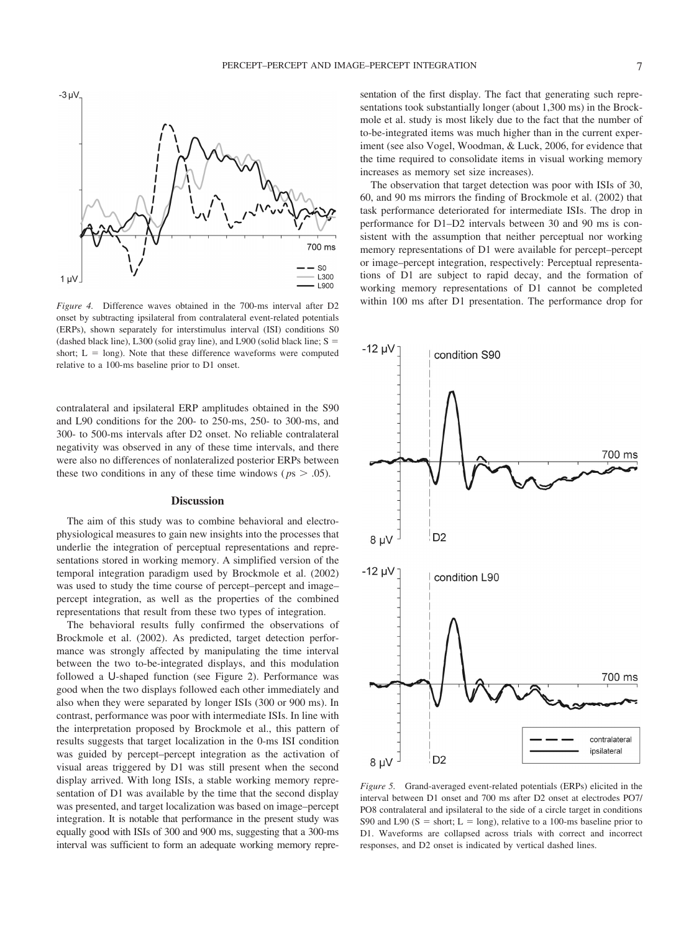

*Figure 4.* Difference waves obtained in the 700-ms interval after D2 onset by subtracting ipsilateral from contralateral event-related potentials (ERPs), shown separately for interstimulus interval (ISI) conditions S0 (dashed black line), L300 (solid gray line), and L900 (solid black line;  $S =$ short;  $L = long$ ). Note that these difference waveforms were computed relative to a 100-ms baseline prior to D1 onset.

contralateral and ipsilateral ERP amplitudes obtained in the S90 and L90 conditions for the 200- to 250-ms, 250- to 300-ms, and 300- to 500-ms intervals after D2 onset. No reliable contralateral negativity was observed in any of these time intervals, and there were also no differences of nonlateralized posterior ERPs between these two conditions in any of these time windows ( $p_s$   $> .05$ ).

#### **Discussion**

The aim of this study was to combine behavioral and electrophysiological measures to gain new insights into the processes that underlie the integration of perceptual representations and representations stored in working memory. A simplified version of the temporal integration paradigm used by Brockmole et al. (2002) was used to study the time course of percept–percept and image– percept integration, as well as the properties of the combined representations that result from these two types of integration.

The behavioral results fully confirmed the observations of Brockmole et al. (2002). As predicted, target detection performance was strongly affected by manipulating the time interval between the two to-be-integrated displays, and this modulation followed a U-shaped function (see Figure 2). Performance was good when the two displays followed each other immediately and also when they were separated by longer ISIs (300 or 900 ms). In contrast, performance was poor with intermediate ISIs. In line with the interpretation proposed by Brockmole et al., this pattern of results suggests that target localization in the 0-ms ISI condition was guided by percept–percept integration as the activation of visual areas triggered by D1 was still present when the second display arrived. With long ISIs, a stable working memory representation of D1 was available by the time that the second display was presented, and target localization was based on image–percept integration. It is notable that performance in the present study was equally good with ISIs of 300 and 900 ms, suggesting that a 300-ms interval was sufficient to form an adequate working memory representation of the first display. The fact that generating such representations took substantially longer (about 1,300 ms) in the Brockmole et al. study is most likely due to the fact that the number of to-be-integrated items was much higher than in the current experiment (see also Vogel, Woodman, & Luck, 2006, for evidence that the time required to consolidate items in visual working memory increases as memory set size increases).

The observation that target detection was poor with ISIs of 30, 60, and 90 ms mirrors the finding of Brockmole et al. (2002) that task performance deteriorated for intermediate ISIs. The drop in performance for D1–D2 intervals between 30 and 90 ms is consistent with the assumption that neither perceptual nor working memory representations of D1 were available for percept–percept or image–percept integration, respectively: Perceptual representations of D1 are subject to rapid decay, and the formation of working memory representations of D1 cannot be completed within 100 ms after D1 presentation. The performance drop for



*Figure 5.* Grand-averaged event-related potentials (ERPs) elicited in the interval between D1 onset and 700 ms after D2 onset at electrodes PO7/ PO8 contralateral and ipsilateral to the side of a circle target in conditions S90 and L90 (S = short; L = long), relative to a 100-ms baseline prior to D1. Waveforms are collapsed across trials with correct and incorrect responses, and D2 onset is indicated by vertical dashed lines.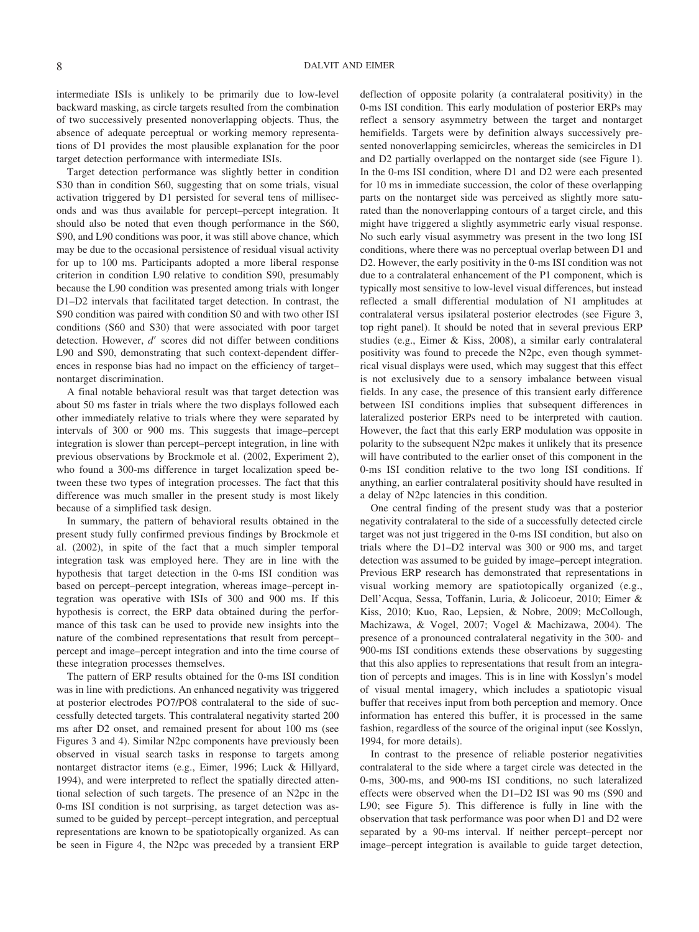intermediate ISIs is unlikely to be primarily due to low-level backward masking, as circle targets resulted from the combination of two successively presented nonoverlapping objects. Thus, the absence of adequate perceptual or working memory representations of D1 provides the most plausible explanation for the poor target detection performance with intermediate ISIs.

Target detection performance was slightly better in condition S30 than in condition S60, suggesting that on some trials, visual activation triggered by D1 persisted for several tens of milliseconds and was thus available for percept–percept integration. It should also be noted that even though performance in the S60, S90, and L90 conditions was poor, it was still above chance, which may be due to the occasional persistence of residual visual activity for up to 100 ms. Participants adopted a more liberal response criterion in condition L90 relative to condition S90, presumably because the L90 condition was presented among trials with longer D1–D2 intervals that facilitated target detection. In contrast, the S90 condition was paired with condition S0 and with two other ISI conditions (S60 and S30) that were associated with poor target detection. However, *d'* scores did not differ between conditions L90 and S90, demonstrating that such context-dependent differences in response bias had no impact on the efficiency of target– nontarget discrimination.

A final notable behavioral result was that target detection was about 50 ms faster in trials where the two displays followed each other immediately relative to trials where they were separated by intervals of 300 or 900 ms. This suggests that image–percept integration is slower than percept–percept integration, in line with previous observations by Brockmole et al. (2002, Experiment 2), who found a 300-ms difference in target localization speed between these two types of integration processes. The fact that this difference was much smaller in the present study is most likely because of a simplified task design.

In summary, the pattern of behavioral results obtained in the present study fully confirmed previous findings by Brockmole et al. (2002), in spite of the fact that a much simpler temporal integration task was employed here. They are in line with the hypothesis that target detection in the 0-ms ISI condition was based on percept–percept integration, whereas image–percept integration was operative with ISIs of 300 and 900 ms. If this hypothesis is correct, the ERP data obtained during the performance of this task can be used to provide new insights into the nature of the combined representations that result from percept– percept and image–percept integration and into the time course of these integration processes themselves.

The pattern of ERP results obtained for the 0-ms ISI condition was in line with predictions. An enhanced negativity was triggered at posterior electrodes PO7/PO8 contralateral to the side of successfully detected targets. This contralateral negativity started 200 ms after D2 onset, and remained present for about 100 ms (see Figures 3 and 4). Similar N2pc components have previously been observed in visual search tasks in response to targets among nontarget distractor items (e.g., Eimer, 1996; Luck & Hillyard, 1994), and were interpreted to reflect the spatially directed attentional selection of such targets. The presence of an N2pc in the 0-ms ISI condition is not surprising, as target detection was assumed to be guided by percept–percept integration, and perceptual representations are known to be spatiotopically organized. As can be seen in Figure 4, the N2pc was preceded by a transient ERP deflection of opposite polarity (a contralateral positivity) in the 0-ms ISI condition. This early modulation of posterior ERPs may reflect a sensory asymmetry between the target and nontarget hemifields. Targets were by definition always successively presented nonoverlapping semicircles, whereas the semicircles in D1 and D2 partially overlapped on the nontarget side (see Figure 1). In the 0-ms ISI condition, where D1 and D2 were each presented for 10 ms in immediate succession, the color of these overlapping parts on the nontarget side was perceived as slightly more saturated than the nonoverlapping contours of a target circle, and this might have triggered a slightly asymmetric early visual response. No such early visual asymmetry was present in the two long ISI conditions, where there was no perceptual overlap between D1 and D2. However, the early positivity in the 0-ms ISI condition was not due to a contralateral enhancement of the P1 component, which is typically most sensitive to low-level visual differences, but instead reflected a small differential modulation of N1 amplitudes at contralateral versus ipsilateral posterior electrodes (see Figure 3, top right panel). It should be noted that in several previous ERP studies (e.g., Eimer & Kiss, 2008), a similar early contralateral positivity was found to precede the N2pc, even though symmetrical visual displays were used, which may suggest that this effect is not exclusively due to a sensory imbalance between visual fields. In any case, the presence of this transient early difference between ISI conditions implies that subsequent differences in lateralized posterior ERPs need to be interpreted with caution. However, the fact that this early ERP modulation was opposite in polarity to the subsequent N2pc makes it unlikely that its presence will have contributed to the earlier onset of this component in the 0-ms ISI condition relative to the two long ISI conditions. If anything, an earlier contralateral positivity should have resulted in a delay of N2pc latencies in this condition.

One central finding of the present study was that a posterior negativity contralateral to the side of a successfully detected circle target was not just triggered in the 0-ms ISI condition, but also on trials where the D1–D2 interval was 300 or 900 ms, and target detection was assumed to be guided by image–percept integration. Previous ERP research has demonstrated that representations in visual working memory are spatiotopically organized (e.g., Dell'Acqua, Sessa, Toffanin, Luria, & Jolicoeur, 2010; Eimer & Kiss, 2010; Kuo, Rao, Lepsien, & Nobre, 2009; McCollough, Machizawa, & Vogel, 2007; Vogel & Machizawa, 2004). The presence of a pronounced contralateral negativity in the 300- and 900-ms ISI conditions extends these observations by suggesting that this also applies to representations that result from an integration of percepts and images. This is in line with Kosslyn's model of visual mental imagery, which includes a spatiotopic visual buffer that receives input from both perception and memory. Once information has entered this buffer, it is processed in the same fashion, regardless of the source of the original input (see Kosslyn, 1994, for more details).

In contrast to the presence of reliable posterior negativities contralateral to the side where a target circle was detected in the 0-ms, 300-ms, and 900-ms ISI conditions, no such lateralized effects were observed when the D1–D2 ISI was 90 ms (S90 and L90; see Figure 5). This difference is fully in line with the observation that task performance was poor when D1 and D2 were separated by a 90-ms interval. If neither percept–percept nor image–percept integration is available to guide target detection,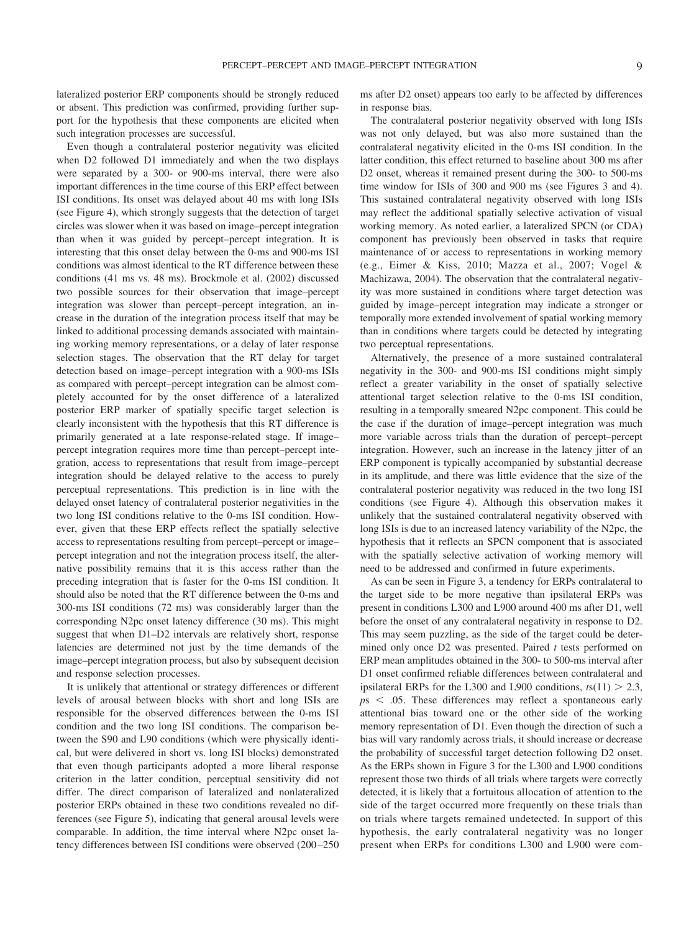lateralized posterior ERP components should be strongly reduced or absent. This prediction was confirmed, providing further support for the hypothesis that these components are elicited when such integration processes are successful.

Even though a contralateral posterior negativity was elicited when D2 followed D1 immediately and when the two displays were separated by a 300- or 900-ms interval, there were also important differences in the time course of this ERP effect between ISI conditions. Its onset was delayed about 40 ms with long ISIs (see Figure 4), which strongly suggests that the detection of target circles was slower when it was based on image–percept integration than when it was guided by percept–percept integration. It is interesting that this onset delay between the 0-ms and 900-ms ISI conditions was almost identical to the RT difference between these conditions (41 ms vs. 48 ms). Brockmole et al. (2002) discussed two possible sources for their observation that image–percept integration was slower than percept–percept integration, an increase in the duration of the integration process itself that may be linked to additional processing demands associated with maintaining working memory representations, or a delay of later response selection stages. The observation that the RT delay for target detection based on image–percept integration with a 900-ms ISIs as compared with percept–percept integration can be almost completely accounted for by the onset difference of a lateralized posterior ERP marker of spatially specific target selection is clearly inconsistent with the hypothesis that this RT difference is primarily generated at a late response-related stage. If image– percept integration requires more time than percept–percept integration, access to representations that result from image–percept integration should be delayed relative to the access to purely perceptual representations. This prediction is in line with the delayed onset latency of contralateral posterior negativities in the two long ISI conditions relative to the 0-ms ISI condition. However, given that these ERP effects reflect the spatially selective access to representations resulting from percept–percept or image– percept integration and not the integration process itself, the alternative possibility remains that it is this access rather than the preceding integration that is faster for the 0-ms ISI condition. It should also be noted that the RT difference between the 0-ms and 300-ms ISI conditions (72 ms) was considerably larger than the corresponding N2pc onset latency difference (30 ms). This might suggest that when D1–D2 intervals are relatively short, response latencies are determined not just by the time demands of the image–percept integration process, but also by subsequent decision and response selection processes.

It is unlikely that attentional or strategy differences or different levels of arousal between blocks with short and long ISIs are responsible for the observed differences between the 0-ms ISI condition and the two long ISI conditions. The comparison between the S90 and L90 conditions (which were physically identical, but were delivered in short vs. long ISI blocks) demonstrated that even though participants adopted a more liberal response criterion in the latter condition, perceptual sensitivity did not differ. The direct comparison of lateralized and nonlateralized posterior ERPs obtained in these two conditions revealed no differences (see Figure 5), indicating that general arousal levels were comparable. In addition, the time interval where N2pc onset latency differences between ISI conditions were observed (200 –250 ms after D2 onset) appears too early to be affected by differences in response bias.

The contralateral posterior negativity observed with long ISIs was not only delayed, but was also more sustained than the contralateral negativity elicited in the 0-ms ISI condition. In the latter condition, this effect returned to baseline about 300 ms after D2 onset, whereas it remained present during the 300- to 500-ms time window for ISIs of 300 and 900 ms (see Figures 3 and 4). This sustained contralateral negativity observed with long ISIs may reflect the additional spatially selective activation of visual working memory. As noted earlier, a lateralized SPCN (or CDA) component has previously been observed in tasks that require maintenance of or access to representations in working memory (e.g., Eimer & Kiss, 2010; Mazza et al., 2007; Vogel & Machizawa, 2004). The observation that the contralateral negativity was more sustained in conditions where target detection was guided by image–percept integration may indicate a stronger or temporally more extended involvement of spatial working memory than in conditions where targets could be detected by integrating two perceptual representations.

Alternatively, the presence of a more sustained contralateral negativity in the 300- and 900-ms ISI conditions might simply reflect a greater variability in the onset of spatially selective attentional target selection relative to the 0-ms ISI condition, resulting in a temporally smeared N2pc component. This could be the case if the duration of image–percept integration was much more variable across trials than the duration of percept–percept integration. However, such an increase in the latency jitter of an ERP component is typically accompanied by substantial decrease in its amplitude, and there was little evidence that the size of the contralateral posterior negativity was reduced in the two long ISI conditions (see Figure 4). Although this observation makes it unlikely that the sustained contralateral negativity observed with long ISIs is due to an increased latency variability of the N2pc, the hypothesis that it reflects an SPCN component that is associated with the spatially selective activation of working memory will need to be addressed and confirmed in future experiments.

As can be seen in Figure 3, a tendency for ERPs contralateral to the target side to be more negative than ipsilateral ERPs was present in conditions L300 and L900 around 400 ms after D1, well before the onset of any contralateral negativity in response to D2. This may seem puzzling, as the side of the target could be determined only once D2 was presented. Paired *t* tests performed on ERP mean amplitudes obtained in the 300- to 500-ms interval after D1 onset confirmed reliable differences between contralateral and ipsilateral ERPs for the L300 and L900 conditions,  $t s(11) > 2.3$ ,  $p<sub>5</sub> <$  .05. These differences may reflect a spontaneous early attentional bias toward one or the other side of the working memory representation of D1. Even though the direction of such a bias will vary randomly across trials, it should increase or decrease the probability of successful target detection following D2 onset. As the ERPs shown in Figure 3 for the L300 and L900 conditions represent those two thirds of all trials where targets were correctly detected, it is likely that a fortuitous allocation of attention to the side of the target occurred more frequently on these trials than on trials where targets remained undetected. In support of this hypothesis, the early contralateral negativity was no longer present when ERPs for conditions L300 and L900 were com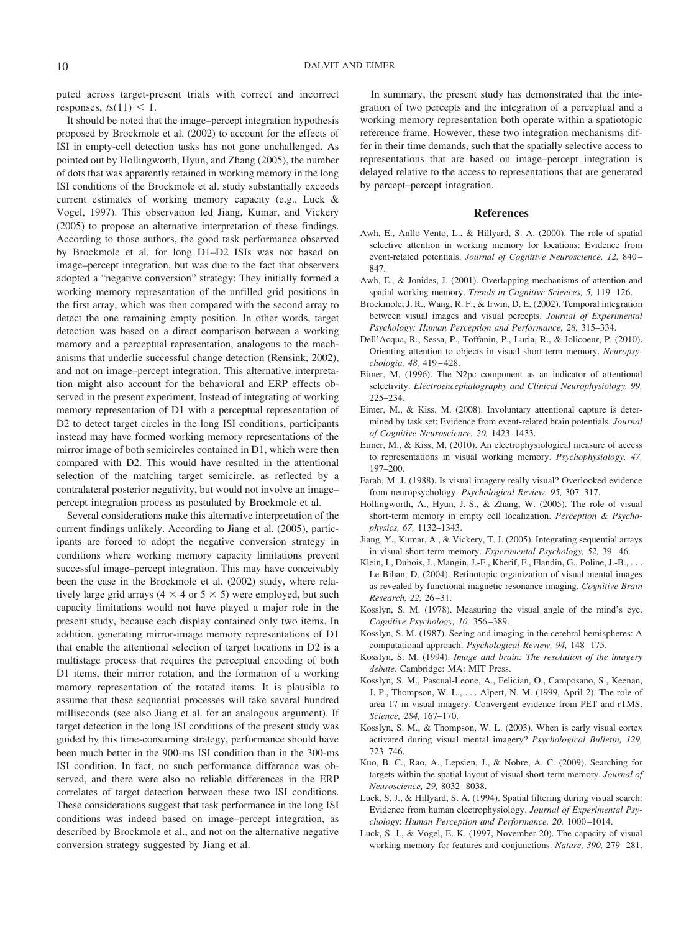puted across target-present trials with correct and incorrect responses,  $t s(11) < 1$ .

It should be noted that the image–percept integration hypothesis proposed by Brockmole et al. (2002) to account for the effects of ISI in empty-cell detection tasks has not gone unchallenged. As pointed out by Hollingworth, Hyun, and Zhang (2005), the number of dots that was apparently retained in working memory in the long ISI conditions of the Brockmole et al. study substantially exceeds current estimates of working memory capacity (e.g., Luck & Vogel, 1997). This observation led Jiang, Kumar, and Vickery (2005) to propose an alternative interpretation of these findings. According to those authors, the good task performance observed by Brockmole et al. for long D1–D2 ISIs was not based on image–percept integration, but was due to the fact that observers adopted a "negative conversion" strategy: They initially formed a working memory representation of the unfilled grid positions in the first array, which was then compared with the second array to detect the one remaining empty position. In other words, target detection was based on a direct comparison between a working memory and a perceptual representation, analogous to the mechanisms that underlie successful change detection (Rensink, 2002), and not on image–percept integration. This alternative interpretation might also account for the behavioral and ERP effects observed in the present experiment. Instead of integrating of working memory representation of D1 with a perceptual representation of D2 to detect target circles in the long ISI conditions, participants instead may have formed working memory representations of the mirror image of both semicircles contained in D1, which were then compared with D2. This would have resulted in the attentional selection of the matching target semicircle, as reflected by a contralateral posterior negativity, but would not involve an image– percept integration process as postulated by Brockmole et al.

Several considerations make this alternative interpretation of the current findings unlikely. According to Jiang et al. (2005), participants are forced to adopt the negative conversion strategy in conditions where working memory capacity limitations prevent successful image–percept integration. This may have conceivably been the case in the Brockmole et al. (2002) study, where relatively large grid arrays ( $4 \times 4$  or  $5 \times 5$ ) were employed, but such capacity limitations would not have played a major role in the present study, because each display contained only two items. In addition, generating mirror-image memory representations of D1 that enable the attentional selection of target locations in D2 is a multistage process that requires the perceptual encoding of both D1 items, their mirror rotation, and the formation of a working memory representation of the rotated items. It is plausible to assume that these sequential processes will take several hundred milliseconds (see also Jiang et al. for an analogous argument). If target detection in the long ISI conditions of the present study was guided by this time-consuming strategy, performance should have been much better in the 900-ms ISI condition than in the 300-ms ISI condition. In fact, no such performance difference was observed, and there were also no reliable differences in the ERP correlates of target detection between these two ISI conditions. These considerations suggest that task performance in the long ISI conditions was indeed based on image–percept integration, as described by Brockmole et al., and not on the alternative negative conversion strategy suggested by Jiang et al.

In summary, the present study has demonstrated that the integration of two percepts and the integration of a perceptual and a working memory representation both operate within a spatiotopic reference frame. However, these two integration mechanisms differ in their time demands, such that the spatially selective access to representations that are based on image–percept integration is delayed relative to the access to representations that are generated by percept–percept integration.

#### **References**

- Awh, E., Anllo-Vento, L., & Hillyard, S. A. (2000). The role of spatial selective attention in working memory for locations: Evidence from event-related potentials. *Journal of Cognitive Neuroscience, 12,* 840 – 847.
- Awh, E., & Jonides, J. (2001). Overlapping mechanisms of attention and spatial working memory. *Trends in Cognitive Sciences, 5,* 119 –126.
- Brockmole, J. R., Wang, R. F., & Irwin, D. E. (2002). Temporal integration between visual images and visual percepts. *Journal of Experimental Psychology: Human Perception and Performance, 28,* 315–334.
- Dell'Acqua, R., Sessa, P., Toffanin, P., Luria, R., & Jolicoeur, P. (2010). Orienting attention to objects in visual short-term memory. *Neuropsychologia, 48,* 419 – 428.
- Eimer, M. (1996). The N2pc component as an indicator of attentional selectivity. *Electroencephalography and Clinical Neurophysiology, 99,* 225–234.
- Eimer, M., & Kiss, M. (2008). Involuntary attentional capture is determined by task set: Evidence from event-related brain potentials. *Journal of Cognitive Neuroscience, 20,* 1423–1433.
- Eimer, M., & Kiss, M. (2010). An electrophysiological measure of access to representations in visual working memory. *Psychophysiology, 47,* 197–200.
- Farah, M. J. (1988). Is visual imagery really visual? Overlooked evidence from neuropsychology. *Psychological Review, 95,* 307–317.
- Hollingworth, A., Hyun, J.-S., & Zhang, W. (2005). The role of visual short-term memory in empty cell localization. *Perception & Psychophysics, 67,* 1132–1343.
- Jiang, Y., Kumar, A., & Vickery, T. J. (2005). Integrating sequential arrays in visual short-term memory. *Experimental Psychology, 52,* 39 – 46.
- Klein, I., Dubois, J., Mangin, J.-F., Kherif, F., Flandin, G., Poline, J.-B., . . . Le Bihan, D. (2004). Retinotopic organization of visual mental images as revealed by functional magnetic resonance imaging. *Cognitive Brain Research, 22,* 26 –31.
- Kosslyn, S. M. (1978). Measuring the visual angle of the mind's eye. *Cognitive Psychology, 10,* 356 –389.
- Kosslyn, S. M. (1987). Seeing and imaging in the cerebral hemispheres: A computational approach. *Psychological Review, 94,* 148 –175.
- Kosslyn, S. M. (1994). *Image and brain: The resolution of the imagery debate*. Cambridge: MA: MIT Press.
- Kosslyn, S. M., Pascual-Leone, A., Felician, O., Camposano, S., Keenan, J. P., Thompson, W. L., . . . Alpert, N. M. (1999, April 2). The role of area 17 in visual imagery: Convergent evidence from PET and rTMS. *Science, 284,* 167–170.
- Kosslyn, S. M., & Thompson, W. L. (2003). When is early visual cortex activated during visual mental imagery? *Psychological Bulletin, 129,* 723–746.
- Kuo, B. C., Rao, A., Lepsien, J., & Nobre, A. C. (2009). Searching for targets within the spatial layout of visual short-term memory. *Journal of Neuroscience, 29,* 8032– 8038.
- Luck, S. J., & Hillyard, S. A. (1994). Spatial filtering during visual search: Evidence from human electrophysiology. *Journal of Experimental Psychology*: *Human Perception and Performance, 20,* 1000 –1014.
- Luck, S. J., & Vogel, E. K. (1997, November 20). The capacity of visual working memory for features and conjunctions. *Nature, 390,* 279 –281.